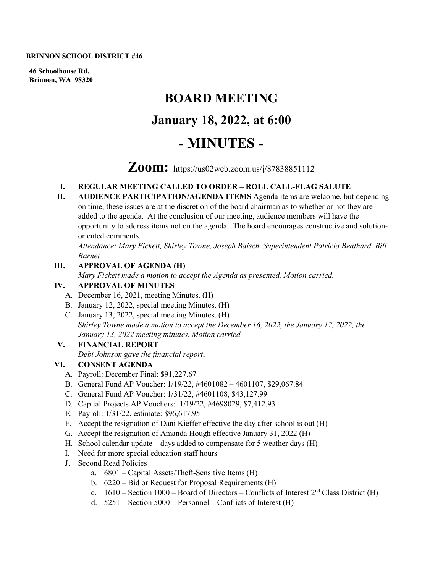#### **BRINNON SCHOOL DISTRICT #46**

**46 Schoolhouse Rd. Brinnon, WA 98320**

# **BOARD MEETING January 18, 2022, at 6:00 - MINUTES -**

## **Zoom:** <https://us02web.zoom.us/j/87838851112>

#### **I. REGULAR MEETING CALLED TO ORDER – ROLL CALL-FLAG SALUTE**

**II. AUDIENCE PARTICIPATION/AGENDA ITEMS** Agenda items are welcome, but depending on time, these issues are at the discretion of the board chairman as to whether or not they are added to the agenda. At the conclusion of our meeting, audience members will have the opportunity to address items not on the agenda. The board encourages constructive and solutionoriented comments.

*Attendance: Mary Fickett, Shirley Towne, Joseph Baisch, Superintendent Patricia Beathard, Bill Barnet* 

#### **III. APPROVAL OF AGENDA (H)**

*Mary Fickett made a motion to accept the Agenda as presented. Motion carried.* 

#### **IV. APPROVAL OF MINUTES**

- A. December 16, 2021, meeting Minutes. (H)
- B. January 12, 2022, special meeting Minutes. (H)
- C. January 13, 2022, special meeting Minutes. (H) *Shirley Towne made a motion to accept the December 16, 2022, the January 12, 2022, the January 13, 2022 meeting minutes. Motion carried.*

#### **V. FINANCIAL REPORT**

*Debi Johnson gave the financial report***.** 

#### **VI. CONSENT AGENDA**

- A. Payroll: December Final: \$91,227.67
- B. General Fund AP Voucher: 1/19/22, #4601082 4601107, \$29,067.84
- C. General Fund AP Voucher: 1/31/22, #4601108, \$43,127.99
- D. Capital Projects AP Vouchers: 1/19/22, #4698029, \$7,412.93
- E. Payroll: 1/31/22, estimate: \$96,617.95
- F. Accept the resignation of Dani Kieffer effective the day after school is out (H)
- G. Accept the resignation of Amanda Hough effective January 31, 2022 (H)
- H. School calendar update days added to compensate for 5 weather days (H)
- I. Need for more special education staff hours
- J. Second Read Policies
	- a. 6801 Capital Assets/Theft-Sensitive Items (H)
	- b. 6220 Bid or Request for Proposal Requirements (H)
	- c.  $1610$  Section 1000 Board of Directors Conflicts of Interest  $2<sup>nd</sup>$  Class District (H)
	- d.  $5251 -$  Section  $5000 -$  Personnel Conflicts of Interest (H)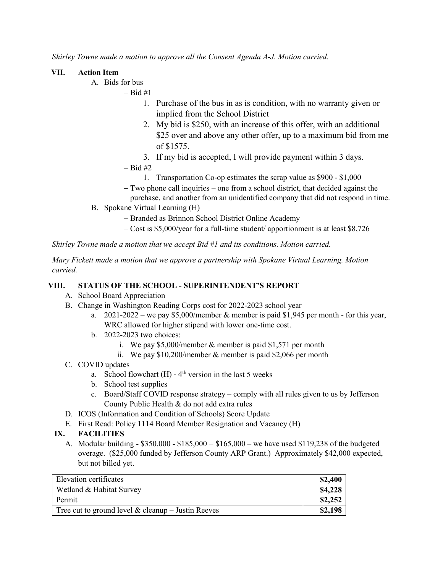*Shirley Towne made a motion to approve all the Consent Agenda A-J. Motion carried.*

### **VII. Action Item**

- A. Bids for bus
	- − Bid #1
		- 1. Purchase of the bus in as is condition, with no warranty given or implied from the School District
		- 2. My bid is \$250, with an increase of this offer, with an additional \$25 over and above any other offer, up to a maximum bid from me of \$1575.
		- 3. If my bid is accepted, I will provide payment within 3 days.
	- − Bid #2
		- 1. Transportation Co-op estimates the scrap value as \$900 \$1,000
	- − Two phone call inquiries one from a school district, that decided against the
		- purchase, and another from an unidentified company that did not respond in time.
- B. Spokane Virtual Learning (H)
	- − Branded as Brinnon School District Online Academy
	- − Cost is \$5,000/year for a full-time student/ apportionment is at least \$8,726

*Shirley Towne made a motion that we accept Bid #1 and its conditions. Motion carried.*

*Mary Fickett made a motion that we approve a partnership with Spokane Virtual Learning. Motion carried.*

#### **VIII. STATUS OF THE SCHOOL - SUPERINTENDENT'S REPORT**

- A. School Board Appreciation
- B. Change in Washington Reading Corps cost for 2022-2023 school year
	- a.  $2021-2022$  we pay \$5,000/member & member is paid \$1,945 per month for this year, WRC allowed for higher stipend with lower one-time cost.
	- b. 2022-2023 two choices:
		- i. We pay \$5,000/member & member is paid \$1,571 per month
		- ii. We pay \$10,200/member & member is paid \$2,066 per month
- C. COVID updates
	- a. School flowchart  $(H)$  4<sup>th</sup> version in the last 5 weeks
	- b. School test supplies
	- c. Board/Staff COVID response strategy comply with all rules given to us by Jefferson County Public Health & do not add extra rules
- D. ICOS (Information and Condition of Schools) Score Update
- E. First Read: Policy 1114 Board Member Resignation and Vacancy (H)

#### **IX. FACILITIES**

A. Modular building -  $$350,000 - $185,000 = $165,000$  – we have used \$119,238 of the budgeted overage. (\$25,000 funded by Jefferson County ARP Grant.) Approximately \$42,000 expected, but not billed yet.

| Elevation certificates                               | \$2,400 |
|------------------------------------------------------|---------|
| Wetland & Habitat Survey                             | \$4,228 |
| Permit                                               | \$2,252 |
| Tree cut to ground level $&$ cleanup – Justin Reeves | \$2,198 |